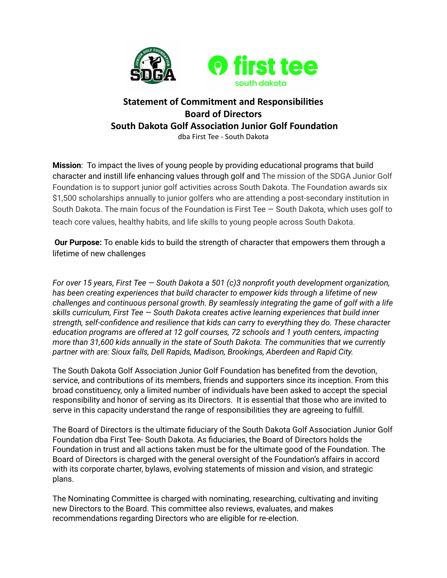

# **Statement of Commitment and Responsibilies Board of Directors South Dakota Golf Association Junior Golf Foundation** dba First Tee - South Dakota

**Mission**: To impact the lives of young people by providing educational programs that build character and instill life enhancing values through golf and The mission of the SDGA Junior Golf Foundation is to support junior golf activities across South Dakota. The Foundation awards six \$1,500 scholarships annually to junior golfers who are attending a post-secondary institution in South Dakota. The main focus of the Foundation is First Tee — South Dakota, which uses golf to teach core values, healthy habits, and life skills to young people across South Dakota.

**Our Purpose:** To enable kids to build the strength of character that empowers them through a lifetime of new challenges

*For over 15 years, First Tee — South Dakota a 501 (c)3 nonprofit youth development organization, has been creating experiences that build character to empower kids through a lifetime of new challenges and continuous personal growth. By seamlessly integrating the game of golf with a life skills curriculum, First Tee — South Dakota creates active learning experiences that build inner strength, self-confidence and resilience that kids can carry to everything they do. These character education programs are offered at 12 golf courses, 72 schools and 1 youth centers, impacting more than 31,600 kids annually in the state of South Dakota. The communities that we currently partner with are: Sioux falls, Dell Rapids, Madison, Brookings, Aberdeen and Rapid City.*

The South Dakota Golf Association Junior Golf Foundation has benefited from the devotion, service, and contributions of its members, friends and supporters since its inception. From this broad constituency, only a limited number of individuals have been asked to accept the special responsibility and honor of serving as its Directors. It is essential that those who are invited to serve in this capacity understand the range of responsibilities they are agreeing to fulfill.

The Board of Directors is the ultimate fiduciary of the South Dakota Golf Association Junior Golf Foundation dba First Tee- South Dakota. As fiduciaries, the Board of Directors holds the Foundation in trust and all actions taken must be for the ultimate good of the Foundation. The Board of Directors is charged with the general oversight of the Foundation's affairs in accord with its corporate charter, bylaws, evolving statements of mission and vision, and strategic plans.

The Nominating Committee is charged with nominating, researching, cultivating and inviting new Directors to the Board. This committee also reviews, evaluates, and makes recommendations regarding Directors who are eligible for re-election.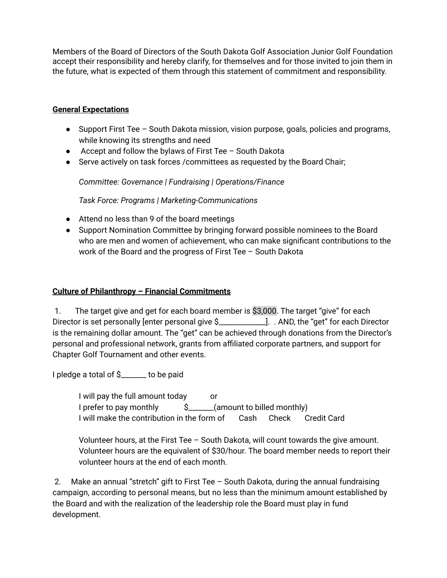Members of the Board of Directors of the South Dakota Golf Association Junior Golf Foundation accept their responsibility and hereby clarify, for themselves and for those invited to join them in the future, what is expected of them through this statement of commitment and responsibility.

### **General Expectations**

- Support First Tee South Dakota mission, vision purpose, goals, policies and programs, while knowing its strengths and need
- Accept and follow the bylaws of First Tee South Dakota
- Serve actively on task forces /committees as requested by the Board Chair;

*Committee: Governance | Fundraising | Operations/Finance*

*Task Force: Programs | Marketing-Communications*

- Attend no less than 9 of the board meetings
- Support Nomination Committee by bringing forward possible nominees to the Board who are men and women of achievement, who can make significant contributions to the work of the Board and the progress of First Tee – South Dakota

#### **Culture of Philanthropy – Financial Commitments**

1. The target give and get for each board member is \$3,000. The target "give" for each Director is set personally [enter personal give \$\_\_\_\_\_\_\_\_\_\_\_\_\_]. . AND, the "get" for each Director is the remaining dollar amount. The "get" can be achieved through donations from the Director's personal and professional network, grants from affiliated corporate partners, and support for Chapter Golf Tournament and other events.

I pledge a total of \$\_\_\_\_\_\_\_ to be paid

I will pay the full amount today or I prefer to pay monthly  $\sim$  \$ \_\_\_\_\_\_(amount to billed monthly) I will make the contribution in the form of Cash Check Credit Card

Volunteer hours, at the First Tee – South Dakota, will count towards the give amount. Volunteer hours are the equivalent of \$30/hour. The board member needs to report their volunteer hours at the end of each month.

2. Make an annual "stretch" gift to First Tee – South Dakota, during the annual fundraising campaign, according to personal means, but no less than the minimum amount established by the Board and with the realization of the leadership role the Board must play in fund development.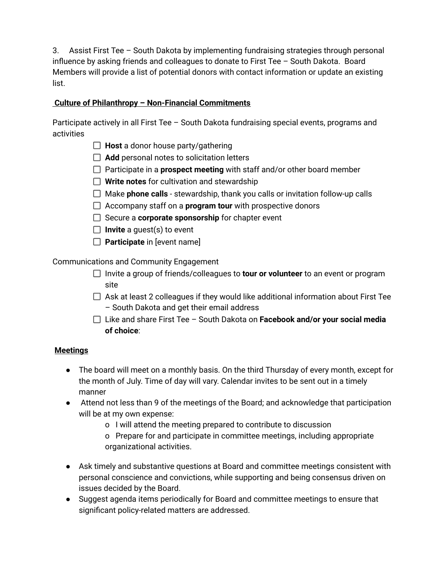3. Assist First Tee – South Dakota by implementing fundraising strategies through personal influence by asking friends and colleagues to donate to First Tee – South Dakota. Board Members will provide a list of potential donors with contact information or update an existing list.

## **Culture of Philanthropy – Non-Financial Commitments**

Participate actively in all First Tee – South Dakota fundraising special events, programs and activities

- **Host** a donor house party/gathering
- □ Add personal notes to solicitation letters
- □ Participate in a **prospect meeting** with staff and/or other board member
- **Write notes** for cultivation and stewardship
- Make **phone calls** stewardship, thank you calls or invitation follow-up calls
- Accompany staff on a **program tour** with prospective donors
- Secure a **corporate sponsorship** for chapter event
- **Invite** a guest(s) to event
- **Participate** in [event name]

Communications and Community Engagement

- Invite a group of friends/colleagues to **tour or volunteer** to an event or program site
- $\Box$  Ask at least 2 colleagues if they would like additional information about First Tee – South Dakota and get their email address
- Like and share First Tee South Dakota on **Facebook and/or your social media of choice**:

### **Meetings**

- The board will meet on a monthly basis. On the third Thursday of every month, except for the month of July. Time of day will vary. Calendar invites to be sent out in a timely manner
- Attend not less than 9 of the meetings of the Board; and acknowledge that participation will be at my own expense:
	- o I will attend the meeting prepared to contribute to discussion

o Prepare for and participate in committee meetings, including appropriate organizational activities.

- Ask timely and substantive questions at Board and committee meetings consistent with personal conscience and convictions, while supporting and being consensus driven on issues decided by the Board.
- Suggest agenda items periodically for Board and committee meetings to ensure that significant policy-related matters are addressed.